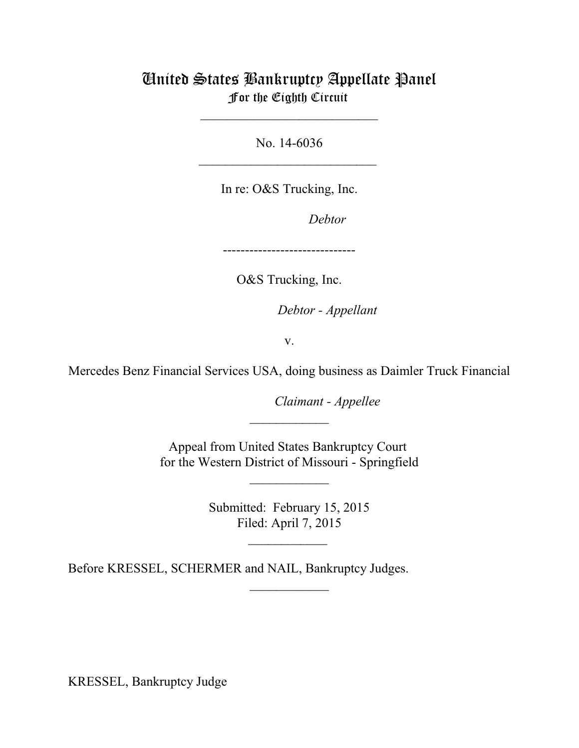# United States Bankruptcy Appellate Panel For the Eighth Circuit

No. 14-6036  $\overline{\phantom{a}}$  , which is a set of the set of the set of the set of the set of the set of the set of the set of the set of the set of the set of the set of the set of the set of the set of the set of the set of the set of th

\_\_\_\_\_\_\_\_\_\_\_\_\_\_\_\_\_\_\_\_\_\_\_\_\_\_\_

In re: O&S Trucking, Inc.

Debtor

------------------------------

O&S Trucking, Inc.

Debtor - Appellant

v.

Mercedes Benz Financial Services USA, doing business as Daimler Truck Financial

Claimant - Appellee

Appeal from United States Bankruptcy Court for the Western District of Missouri - Springfield

 $\frac{1}{2}$ 

\_\_\_\_\_\_\_\_\_\_\_\_

Submitted: February 15, 2015 Filed: April 7, 2015

 $\mathcal{L}_\text{max}$ 

\_\_\_\_\_\_\_\_\_\_\_\_

Before KRESSEL, SCHERMER and NAIL, Bankruptcy Judges.

KRESSEL, Bankruptcy Judge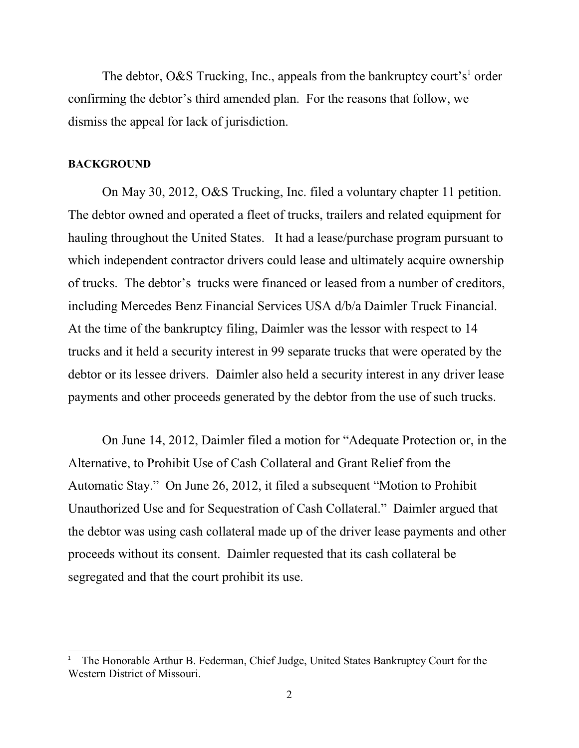The debtor, O&S Trucking, Inc., appeals from the bankruptcy court's<sup>1</sup> order confirming the debtor's third amended plan. For the reasons that follow, we dismiss the appeal for lack of jurisdiction.

#### **BACKGROUND**

On May 30, 2012, O&S Trucking, Inc. filed a voluntary chapter 11 petition. The debtor owned and operated a fleet of trucks, trailers and related equipment for hauling throughout the United States. It had a lease/purchase program pursuant to which independent contractor drivers could lease and ultimately acquire ownership of trucks. The debtor's trucks were financed or leased from a number of creditors, including Mercedes Benz Financial Services USA d/b/a Daimler Truck Financial. At the time of the bankruptcy filing, Daimler was the lessor with respect to 14 trucks and it held a security interest in 99 separate trucks that were operated by the debtor or its lessee drivers. Daimler also held a security interest in any driver lease payments and other proceeds generated by the debtor from the use of such trucks.

On June 14, 2012, Daimler filed a motion for "Adequate Protection or, in the Alternative, to Prohibit Use of Cash Collateral and Grant Relief from the Automatic Stay." On June 26, 2012, it filed a subsequent "Motion to Prohibit Unauthorized Use and for Sequestration of Cash Collateral." Daimler argued that the debtor was using cash collateral made up of the driver lease payments and other proceeds without its consent. Daimler requested that its cash collateral be segregated and that the court prohibit its use.

The Honorable Arthur B. Federman, Chief Judge, United States Bankruptcy Court for the <sup>1</sup> Western District of Missouri.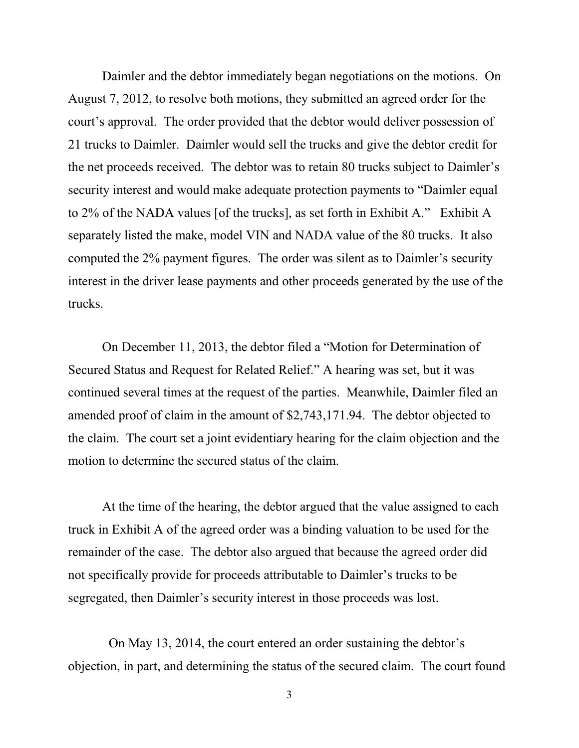Daimler and the debtor immediately began negotiations on the motions. On August 7, 2012, to resolve both motions, they submitted an agreed order for the court's approval. The order provided that the debtor would deliver possession of 21 trucks to Daimler. Daimler would sell the trucks and give the debtor credit for the net proceeds received. The debtor was to retain 80 trucks subject to Daimler's security interest and would make adequate protection payments to "Daimler equal to 2% of the NADA values [of the trucks], as set forth in Exhibit A." Exhibit A separately listed the make, model VIN and NADA value of the 80 trucks. It also computed the 2% payment figures. The order was silent as to Daimler's security interest in the driver lease payments and other proceeds generated by the use of the trucks.

On December 11, 2013, the debtor filed a "Motion for Determination of Secured Status and Request for Related Relief." A hearing was set, but it was continued several times at the request of the parties. Meanwhile, Daimler filed an amended proof of claim in the amount of \$2,743,171.94. The debtor objected to the claim. The court set a joint evidentiary hearing for the claim objection and the motion to determine the secured status of the claim.

At the time of the hearing, the debtor argued that the value assigned to each truck in Exhibit A of the agreed order was a binding valuation to be used for the remainder of the case. The debtor also argued that because the agreed order did not specifically provide for proceeds attributable to Daimler's trucks to be segregated, then Daimler's security interest in those proceeds was lost.

 On May 13, 2014, the court entered an order sustaining the debtor's objection, in part, and determining the status of the secured claim. The court found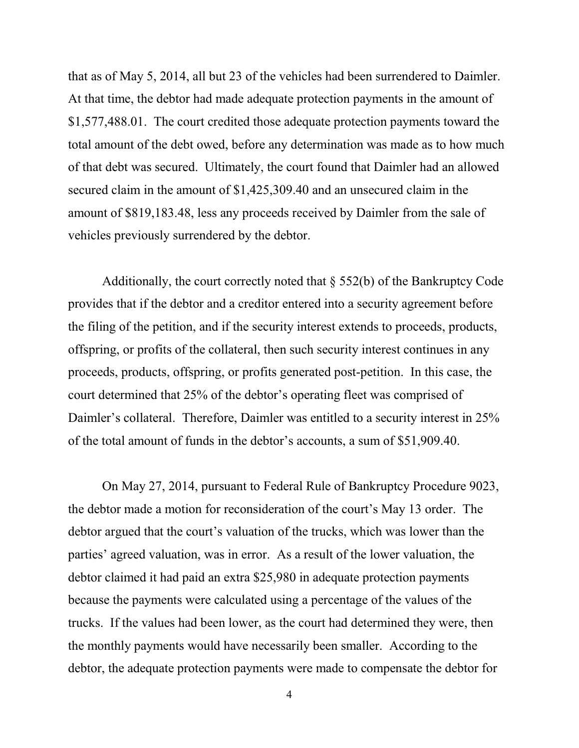that as of May 5, 2014, all but 23 of the vehicles had been surrendered to Daimler. At that time, the debtor had made adequate protection payments in the amount of \$1,577,488.01. The court credited those adequate protection payments toward the total amount of the debt owed, before any determination was made as to how much of that debt was secured. Ultimately, the court found that Daimler had an allowed secured claim in the amount of \$1,425,309.40 and an unsecured claim in the amount of \$819,183.48, less any proceeds received by Daimler from the sale of vehicles previously surrendered by the debtor.

Additionally, the court correctly noted that  $\S$  552(b) of the Bankruptcy Code provides that if the debtor and a creditor entered into a security agreement before the filing of the petition, and if the security interest extends to proceeds, products, offspring, or profits of the collateral, then such security interest continues in any proceeds, products, offspring, or profits generated post-petition. In this case, the court determined that 25% of the debtor's operating fleet was comprised of Daimler's collateral. Therefore, Daimler was entitled to a security interest in 25% of the total amount of funds in the debtor's accounts, a sum of \$51,909.40.

On May 27, 2014, pursuant to Federal Rule of Bankruptcy Procedure 9023, the debtor made a motion for reconsideration of the court's May 13 order. The debtor argued that the court's valuation of the trucks, which was lower than the parties' agreed valuation, was in error. As a result of the lower valuation, the debtor claimed it had paid an extra \$25,980 in adequate protection payments because the payments were calculated using a percentage of the values of the trucks. If the values had been lower, as the court had determined they were, then the monthly payments would have necessarily been smaller. According to the debtor, the adequate protection payments were made to compensate the debtor for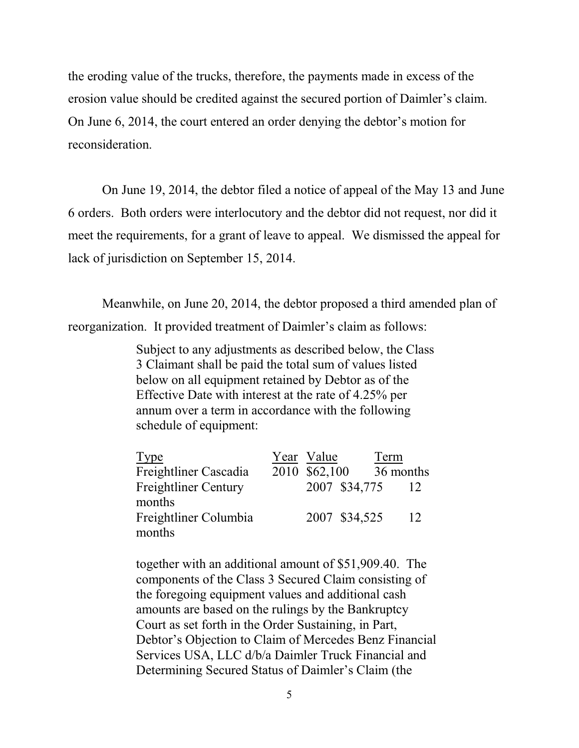the eroding value of the trucks, therefore, the payments made in excess of the erosion value should be credited against the secured portion of Daimler's claim. On June 6, 2014, the court entered an order denying the debtor's motion for reconsideration.

On June 19, 2014, the debtor filed a notice of appeal of the May 13 and June 6 orders. Both orders were interlocutory and the debtor did not request, nor did it meet the requirements, for a grant of leave to appeal. We dismissed the appeal for lack of jurisdiction on September 15, 2014.

Meanwhile, on June 20, 2014, the debtor proposed a third amended plan of reorganization. It provided treatment of Daimler's claim as follows:

> Subject to any adjustments as described below, the Class 3 Claimant shall be paid the total sum of values listed below on all equipment retained by Debtor as of the Effective Date with interest at the rate of 4.25% per annum over a term in accordance with the following schedule of equipment:

| Type                        | Year Value    |               | Term      |    |
|-----------------------------|---------------|---------------|-----------|----|
| Freightliner Cascadia       | 2010 \$62,100 |               | 36 months |    |
| <b>Freightliner Century</b> |               | 2007 \$34,775 |           |    |
| months                      |               |               |           |    |
| Freightliner Columbia       |               | 2007 \$34,525 |           | 12 |
| months                      |               |               |           |    |

together with an additional amount of \$51,909.40. The components of the Class 3 Secured Claim consisting of the foregoing equipment values and additional cash amounts are based on the rulings by the Bankruptcy Court as set forth in the Order Sustaining, in Part, Debtor's Objection to Claim of Mercedes Benz Financial Services USA, LLC d/b/a Daimler Truck Financial and Determining Secured Status of Daimler's Claim (the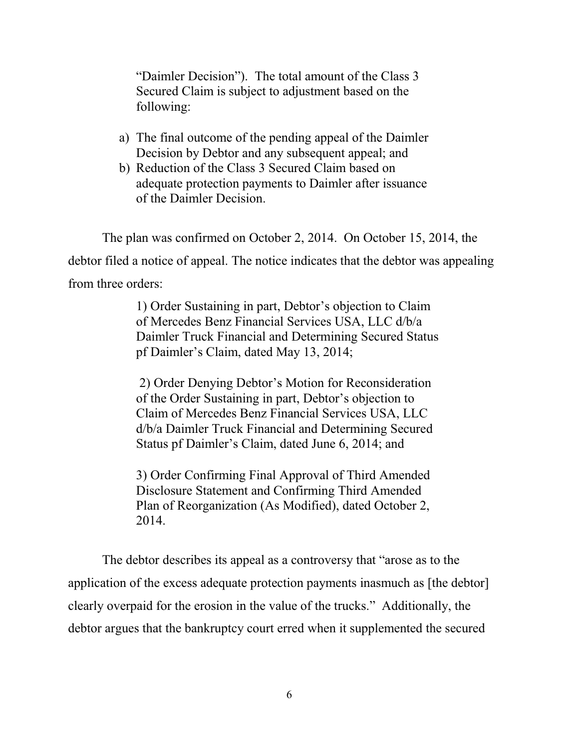"Daimler Decision"). The total amount of the Class 3 Secured Claim is subject to adjustment based on the following:

- a) The final outcome of the pending appeal of the Daimler Decision by Debtor and any subsequent appeal; and
- b) Reduction of the Class 3 Secured Claim based on adequate protection payments to Daimler after issuance of the Daimler Decision.

The plan was confirmed on October 2, 2014. On October 15, 2014, the debtor filed a notice of appeal. The notice indicates that the debtor was appealing from three orders:

> 1) Order Sustaining in part, Debtor's objection to Claim of Mercedes Benz Financial Services USA, LLC d/b/a Daimler Truck Financial and Determining Secured Status pf Daimler's Claim, dated May 13, 2014;

 2) Order Denying Debtor's Motion for Reconsideration of the Order Sustaining in part, Debtor's objection to Claim of Mercedes Benz Financial Services USA, LLC d/b/a Daimler Truck Financial and Determining Secured Status pf Daimler's Claim, dated June 6, 2014; and

3) Order Confirming Final Approval of Third Amended Disclosure Statement and Confirming Third Amended Plan of Reorganization (As Modified), dated October 2, 2014.

The debtor describes its appeal as a controversy that "arose as to the application of the excess adequate protection payments inasmuch as [the debtor] clearly overpaid for the erosion in the value of the trucks." Additionally, the debtor argues that the bankruptcy court erred when it supplemented the secured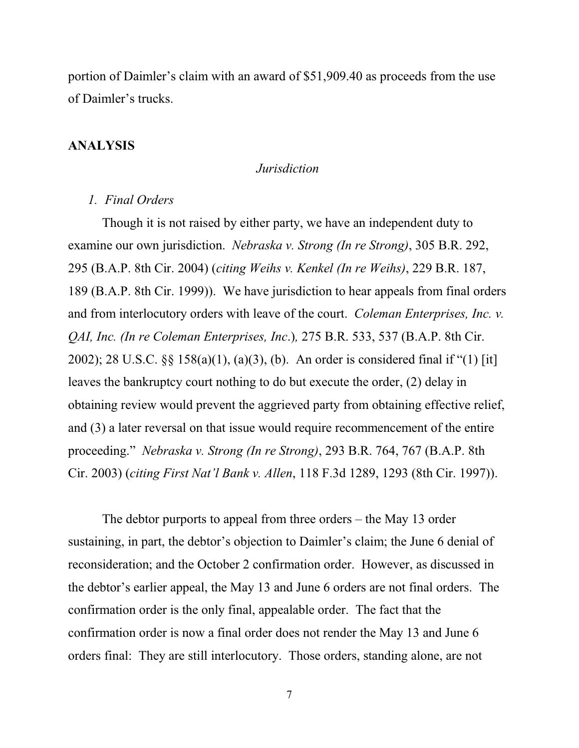portion of Daimler's claim with an award of \$51,909.40 as proceeds from the use of Daimler's trucks.

## **ANALYSIS**

### *Jurisdiction*

#### *1. Final Orders*

Though it is not raised by either party, we have an independent duty to examine our own jurisdiction. *Nebraska v. Strong (In re Strong)*, 305 B.R. 292, 295 (B.A.P. 8th Cir. 2004) (*citing Weihs v. Kenkel (In re Weihs)*, 229 B.R. 187, 189 (B.A.P. 8th Cir. 1999)). We have jurisdiction to hear appeals from final orders and from interlocutory orders with leave of the court. *Coleman Enterprises, Inc. v. QAI, Inc. (In re Coleman Enterprises, Inc*.)*,* 275 B.R. 533, 537 (B.A.P. 8th Cir. 2002); 28 U.S.C. §§ 158(a)(1), (a)(3), (b). An order is considered final if "(1) [it] leaves the bankruptcy court nothing to do but execute the order, (2) delay in obtaining review would prevent the aggrieved party from obtaining effective relief, and (3) a later reversal on that issue would require recommencement of the entire proceeding." *Nebraska v. Strong (In re Strong)*, 293 B.R. 764, 767 (B.A.P. 8th Cir. 2003) (*citing First Nat'l Bank v. Allen*, 118 F.3d 1289, 1293 (8th Cir. 1997)).

The debtor purports to appeal from three orders – the May 13 order sustaining, in part, the debtor's objection to Daimler's claim; the June 6 denial of reconsideration; and the October 2 confirmation order. However, as discussed in the debtor's earlier appeal, the May 13 and June 6 orders are not final orders. The confirmation order is the only final, appealable order. The fact that the confirmation order is now a final order does not render the May 13 and June 6 orders final: They are still interlocutory. Those orders, standing alone, are not

7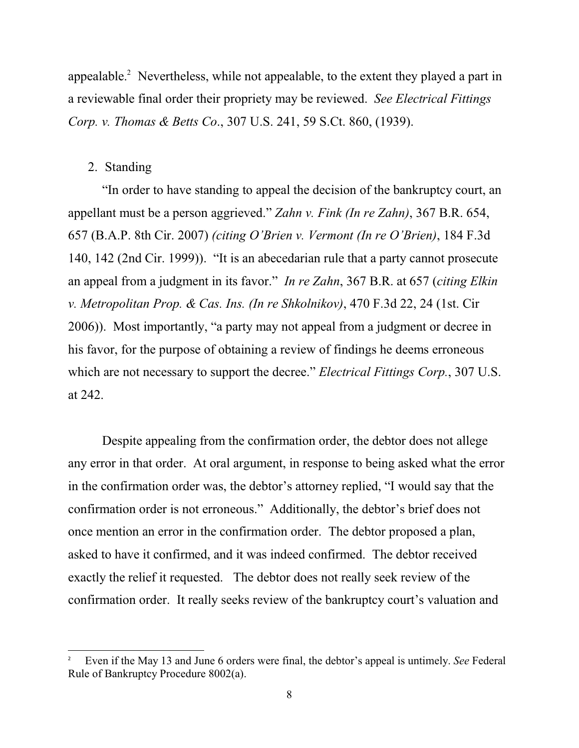appealable. $\degree$  Nevertheless, while not appealable, to the extent they played a part in a reviewable final order their propriety may be reviewed. *See Electrical Fittings Corp. v. Thomas & Betts Co*., 307 U.S. 241, 59 S.Ct. 860, (1939).

## 2. Standing

"In order to have standing to appeal the decision of the bankruptcy court, an appellant must be a person aggrieved." *Zahn v. Fink (In re Zahn)*, 367 B.R. 654, 657 (B.A.P. 8th Cir. 2007) *(citing O'Brien v. Vermont (In re O'Brien)*, 184 F.3d 140, 142 (2nd Cir. 1999)). "It is an abecedarian rule that a party cannot prosecute an appeal from a judgment in its favor." *In re Zahn*, 367 B.R. at 657 (*citing Elkin v. Metropolitan Prop. & Cas. Ins. (In re Shkolnikov)*, 470 F.3d 22, 24 (1st. Cir 2006)). Most importantly, "a party may not appeal from a judgment or decree in his favor, for the purpose of obtaining a review of findings he deems erroneous which are not necessary to support the decree." *Electrical Fittings Corp.*, 307 U.S. at 242.

Despite appealing from the confirmation order, the debtor does not allege any error in that order. At oral argument, in response to being asked what the error in the confirmation order was, the debtor's attorney replied, "I would say that the confirmation order is not erroneous." Additionally, the debtor's brief does not once mention an error in the confirmation order. The debtor proposed a plan, asked to have it confirmed, and it was indeed confirmed. The debtor received exactly the relief it requested. The debtor does not really seek review of the confirmation order. It really seeks review of the bankruptcy court's valuation and

Even if the May 13 and June 6 orders were final, the debtor's appeal is untimely. *See* Federal 2 Rule of Bankruptcy Procedure 8002(a).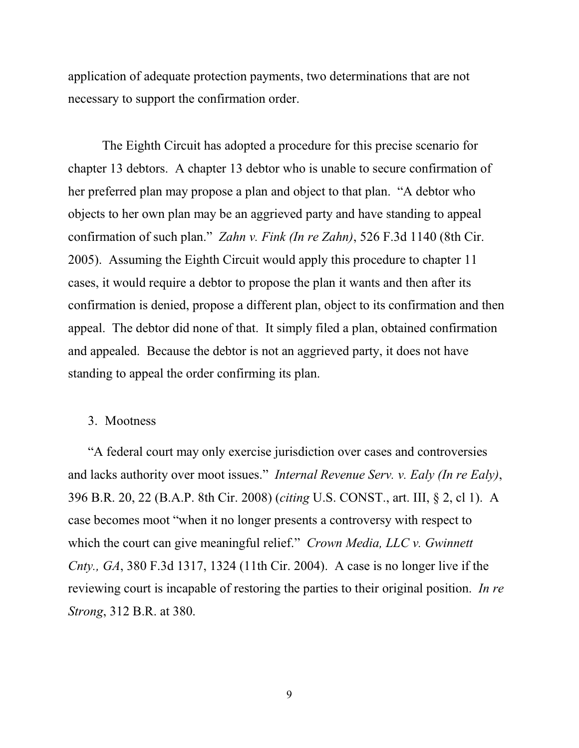application of adequate protection payments, two determinations that are not necessary to support the confirmation order.

The Eighth Circuit has adopted a procedure for this precise scenario for chapter 13 debtors. A chapter 13 debtor who is unable to secure confirmation of her preferred plan may propose a plan and object to that plan. "A debtor who objects to her own plan may be an aggrieved party and have standing to appeal confirmation of such plan." *Zahn v. Fink (In re Zahn)*, 526 F.3d 1140 (8th Cir. 2005). Assuming the Eighth Circuit would apply this procedure to chapter 11 cases, it would require a debtor to propose the plan it wants and then after its confirmation is denied, propose a different plan, object to its confirmation and then appeal. The debtor did none of that. It simply filed a plan, obtained confirmation and appealed. Because the debtor is not an aggrieved party, it does not have standing to appeal the order confirming its plan.

## 3. Mootness

"A federal court may only exercise jurisdiction over cases and controversies and lacks authority over moot issues." *Internal Revenue Serv. v. Ealy (In re Ealy)*, 396 B.R. 20, 22 (B.A.P. 8th Cir. 2008) (*citing* U.S. CONST., art. III, § 2, cl 1). A case becomes moot "when it no longer presents a controversy with respect to which the court can give meaningful relief." *Crown Media, LLC v. Gwinnett Cnty., GA*, 380 F.3d 1317, 1324 (11th Cir. 2004). A case is no longer live if the reviewing court is incapable of restoring the parties to their original position. *In re Strong*, 312 B.R. at 380.

9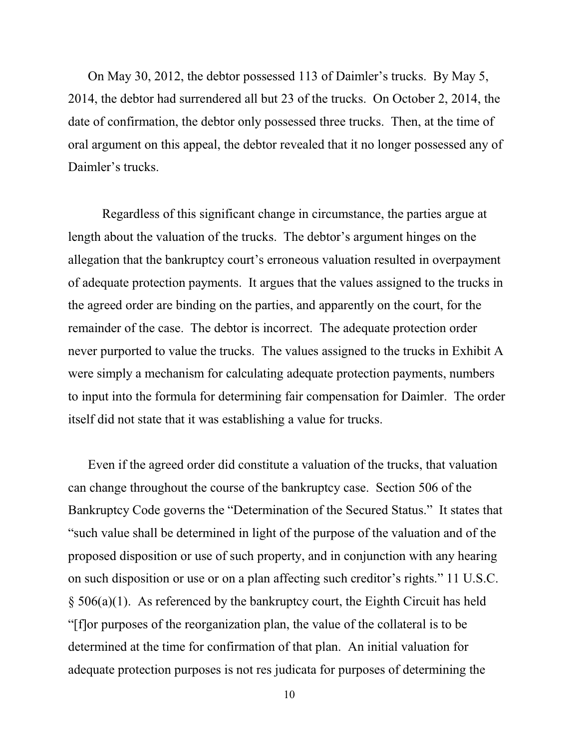On May 30, 2012, the debtor possessed 113 of Daimler's trucks. By May 5, 2014, the debtor had surrendered all but 23 of the trucks. On October 2, 2014, the date of confirmation, the debtor only possessed three trucks. Then, at the time of oral argument on this appeal, the debtor revealed that it no longer possessed any of Daimler's trucks.

Regardless of this significant change in circumstance, the parties argue at length about the valuation of the trucks. The debtor's argument hinges on the allegation that the bankruptcy court's erroneous valuation resulted in overpayment of adequate protection payments. It argues that the values assigned to the trucks in the agreed order are binding on the parties, and apparently on the court, for the remainder of the case. The debtor is incorrect. The adequate protection order never purported to value the trucks. The values assigned to the trucks in Exhibit A were simply a mechanism for calculating adequate protection payments, numbers to input into the formula for determining fair compensation for Daimler. The order itself did not state that it was establishing a value for trucks.

Even if the agreed order did constitute a valuation of the trucks, that valuation can change throughout the course of the bankruptcy case. Section 506 of the Bankruptcy Code governs the "Determination of the Secured Status." It states that "such value shall be determined in light of the purpose of the valuation and of the proposed disposition or use of such property, and in conjunction with any hearing on such disposition or use or on a plan affecting such creditor's rights." 11 U.S.C. § 506(a)(1). As referenced by the bankruptcy court, the Eighth Circuit has held "[f]or purposes of the reorganization plan, the value of the collateral is to be determined at the time for confirmation of that plan. An initial valuation for adequate protection purposes is not res judicata for purposes of determining the